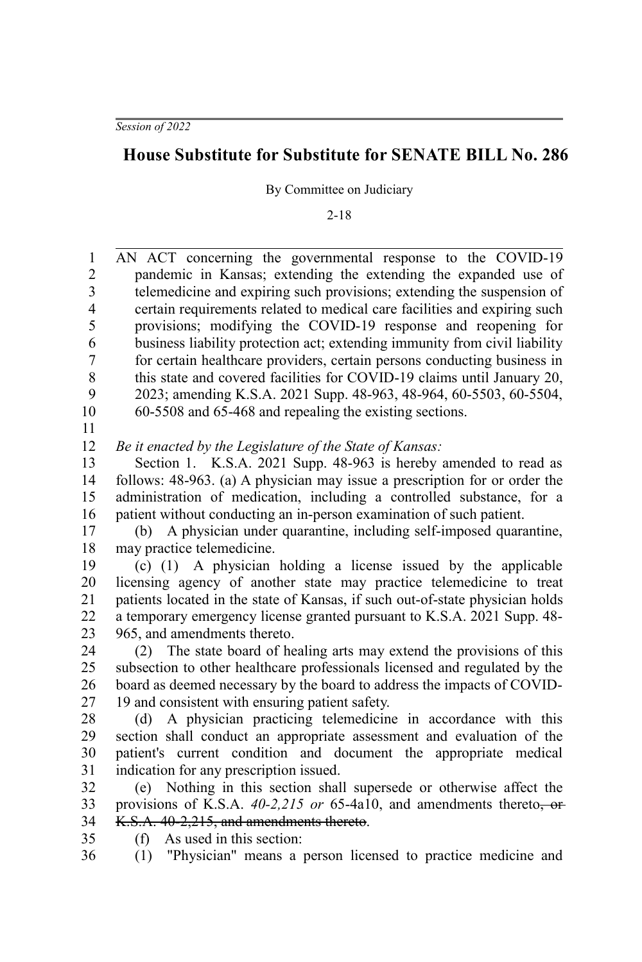## **House Substitute for Substitute for SENATE BILL No. 286**

By Committee on Judiciary

2-18

| 1                       | AN ACT concerning the governmental response to the COVID-19                                            |
|-------------------------|--------------------------------------------------------------------------------------------------------|
| $\overline{2}$          | pandemic in Kansas; extending the extending the expanded use of                                        |
| 3                       | telemedicine and expiring such provisions; extending the suspension of                                 |
| $\overline{\mathbf{4}}$ | certain requirements related to medical care facilities and expiring such                              |
| 5                       | provisions; modifying the COVID-19 response and reopening for                                          |
| 6                       | business liability protection act; extending immunity from civil liability                             |
| 7                       | for certain healthcare providers, certain persons conducting business in                               |
| $\,$ 8 $\,$             | this state and covered facilities for COVID-19 claims until January 20,                                |
| 9                       | 2023; amending K.S.A. 2021 Supp. 48-963, 48-964, 60-5503, 60-5504,                                     |
| 10                      | 60-5508 and 65-468 and repealing the existing sections.                                                |
| 11                      |                                                                                                        |
| 12                      | Be it enacted by the Legislature of the State of Kansas:                                               |
| 13                      | Section 1. K.S.A. 2021 Supp. 48-963 is hereby amended to read as                                       |
| 14                      | follows: 48-963. (a) A physician may issue a prescription for or order the                             |
| 15                      | administration of medication, including a controlled substance, for a                                  |
| 16                      | patient without conducting an in-person examination of such patient.                                   |
| 17                      | A physician under quarantine, including self-imposed quarantine,<br>(b)                                |
| 18                      | may practice telemedicine.                                                                             |
| 19                      | A physician holding a license issued by the applicable<br>$(c)$ $(1)$                                  |
| 20                      | licensing agency of another state may practice telemedicine to treat                                   |
| 21                      | patients located in the state of Kansas, if such out-of-state physician holds                          |
| 22                      | a temporary emergency license granted pursuant to K.S.A. 2021 Supp. 48-                                |
| 23                      | 965, and amendments thereto.                                                                           |
| 24                      | (2) The state board of healing arts may extend the provisions of this                                  |
| 25                      | subsection to other healthcare professionals licensed and regulated by the                             |
| 26                      | board as deemed necessary by the board to address the impacts of COVID-                                |
| 27                      | 19 and consistent with ensuring patient safety.                                                        |
| 28                      | A physician practicing telemedicine in accordance with this<br>(d)                                     |
| 29                      | section shall conduct an appropriate assessment and evaluation of the                                  |
| 30                      | patient's current condition and document the appropriate medical                                       |
| 31                      | indication for any prescription issued.                                                                |
| 32                      | (e) Nothing in this section shall supersede or otherwise affect the                                    |
| 33                      | provisions of K.S.A. $40-2,215$ or 65-4a10, and amendments thereto, or                                 |
| 34                      | K.S.A. 40-2,215, and amendments thereto.                                                               |
| 35<br>36                | As used in this section:<br>(f)<br>"Physician" means a person licensed to practice medicine and<br>(1) |
|                         |                                                                                                        |
|                         |                                                                                                        |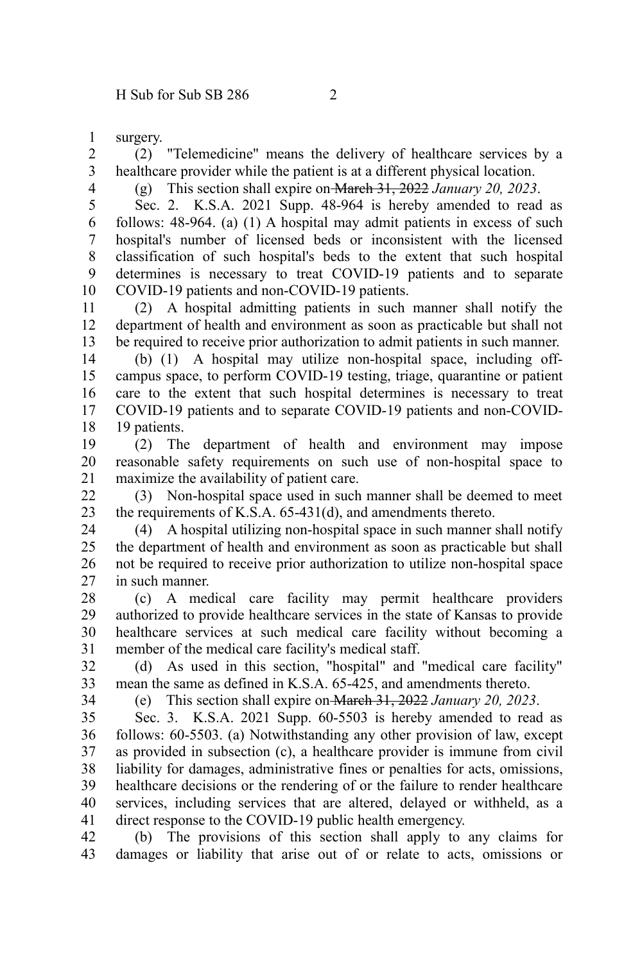surgery. 1

(2) "Telemedicine" means the delivery of healthcare services by a healthcare provider while the patient is at a different physical location. 2 3

4

(g) This section shall expire on March 31, 2022 *January 20, 2023*.

Sec. 2. K.S.A. 2021 Supp. 48-964 is hereby amended to read as follows: 48-964. (a) (1) A hospital may admit patients in excess of such hospital's number of licensed beds or inconsistent with the licensed classification of such hospital's beds to the extent that such hospital determines is necessary to treat COVID-19 patients and to separate COVID-19 patients and non-COVID-19 patients. 5 6 7 8 9 10

(2) A hospital admitting patients in such manner shall notify the department of health and environment as soon as practicable but shall not be required to receive prior authorization to admit patients in such manner. 11 12 13

(b) (1) A hospital may utilize non-hospital space, including offcampus space, to perform COVID-19 testing, triage, quarantine or patient care to the extent that such hospital determines is necessary to treat COVID-19 patients and to separate COVID-19 patients and non-COVID-19 patients. 14 15 16 17 18

(2) The department of health and environment may impose reasonable safety requirements on such use of non-hospital space to maximize the availability of patient care. 19 20 21

(3) Non-hospital space used in such manner shall be deemed to meet the requirements of K.S.A. 65-431(d), and amendments thereto. 22 23

(4) A hospital utilizing non-hospital space in such manner shall notify the department of health and environment as soon as practicable but shall not be required to receive prior authorization to utilize non-hospital space in such manner. 24 25 26 27

(c) A medical care facility may permit healthcare providers authorized to provide healthcare services in the state of Kansas to provide healthcare services at such medical care facility without becoming a member of the medical care facility's medical staff. 28 29 30 31

(d) As used in this section, "hospital" and "medical care facility" mean the same as defined in K.S.A. 65-425, and amendments thereto. 32 33

34

(e) This section shall expire on March 31, 2022 *January 20, 2023*.

Sec. 3. K.S.A. 2021 Supp. 60-5503 is hereby amended to read as follows: 60-5503. (a) Notwithstanding any other provision of law, except as provided in subsection (c), a healthcare provider is immune from civil liability for damages, administrative fines or penalties for acts, omissions, healthcare decisions or the rendering of or the failure to render healthcare services, including services that are altered, delayed or withheld, as a direct response to the COVID-19 public health emergency. 35 36 37 38 39 40 41

(b) The provisions of this section shall apply to any claims for damages or liability that arise out of or relate to acts, omissions or 42 43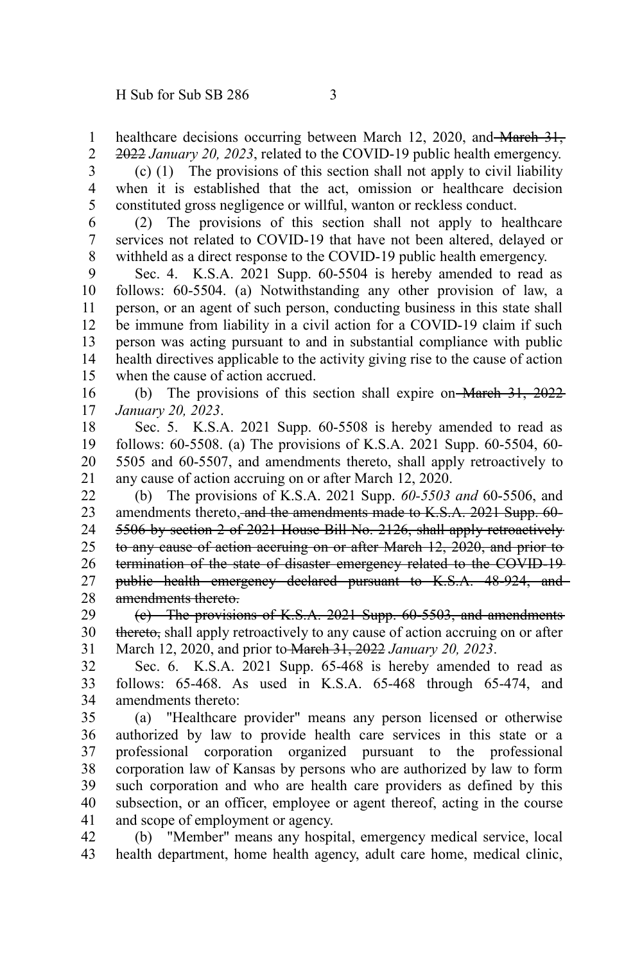healthcare decisions occurring between March 12, 2020, and March 31, 2022 *January 20, 2023*, related to the COVID-19 public health emergency. 1 2

(c) (1) The provisions of this section shall not apply to civil liability when it is established that the act, omission or healthcare decision constituted gross negligence or willful, wanton or reckless conduct. 3 4 5

(2) The provisions of this section shall not apply to healthcare services not related to COVID-19 that have not been altered, delayed or withheld as a direct response to the COVID-19 public health emergency. 6 7 8

Sec. 4. K.S.A. 2021 Supp. 60-5504 is hereby amended to read as follows: 60-5504. (a) Notwithstanding any other provision of law, a person, or an agent of such person, conducting business in this state shall be immune from liability in a civil action for a COVID-19 claim if such person was acting pursuant to and in substantial compliance with public health directives applicable to the activity giving rise to the cause of action when the cause of action accrued. 9 10 11 12 13 14 15

(b) The provisions of this section shall expire on March 31, 2022 *January 20, 2023*. 16 17

Sec. 5. K.S.A. 2021 Supp. 60-5508 is hereby amended to read as follows: 60-5508. (a) The provisions of K.S.A. 2021 Supp. 60-5504, 60- 5505 and 60-5507, and amendments thereto, shall apply retroactively to any cause of action accruing on or after March 12, 2020. 18 19 20 21

(b) The provisions of K.S.A. 2021 Supp. *60-5503 and* 60-5506, and amendments thereto, and the amendments made to K.S.A. 2021 Supp. 60- 5506 by section 2 of 2021 House Bill No. 2126, shall apply retroactively to any cause of action accruing on or after March 12, 2020, and prior to termination of the state of disaster emergency related to the COVID-19 public health emergency declared pursuant to K.S.A. 48-924, and amendments thereto. 22 23 24 25 26 27 28

(c) The provisions of K.S.A. 2021 Supp. 60-5503, and amendments thereto, shall apply retroactively to any cause of action accruing on or after March 12, 2020, and prior to March 31, 2022 *January 20, 2023*. 29 30 31

Sec. 6. K.S.A. 2021 Supp. 65-468 is hereby amended to read as follows: 65-468. As used in K.S.A. 65-468 through 65-474, and amendments thereto: 32 33 34

(a) "Healthcare provider" means any person licensed or otherwise authorized by law to provide health care services in this state or a professional corporation organized pursuant to the professional corporation law of Kansas by persons who are authorized by law to form such corporation and who are health care providers as defined by this subsection, or an officer, employee or agent thereof, acting in the course and scope of employment or agency. 35 36 37 38 39 40 41

(b) "Member" means any hospital, emergency medical service, local health department, home health agency, adult care home, medical clinic, 42 43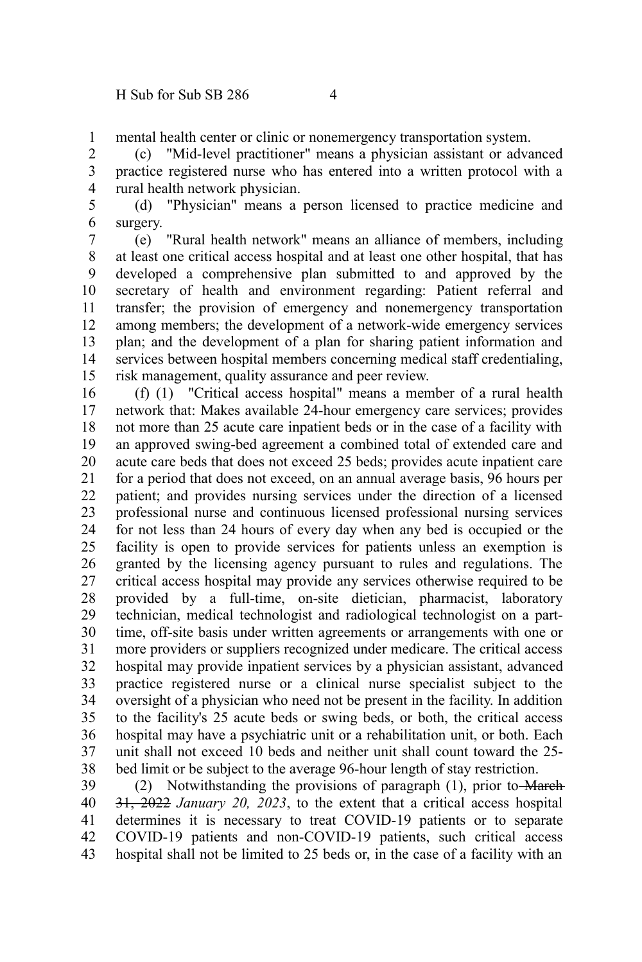mental health center or clinic or nonemergency transportation system. 1

(c) "Mid-level practitioner" means a physician assistant or advanced practice registered nurse who has entered into a written protocol with a rural health network physician. 2 3 4

(d) "Physician" means a person licensed to practice medicine and surgery. 5 6

(e) "Rural health network" means an alliance of members, including at least one critical access hospital and at least one other hospital, that has developed a comprehensive plan submitted to and approved by the secretary of health and environment regarding: Patient referral and transfer; the provision of emergency and nonemergency transportation among members; the development of a network-wide emergency services plan; and the development of a plan for sharing patient information and services between hospital members concerning medical staff credentialing, risk management, quality assurance and peer review. 7 8 9 10 11 12 13 14 15

(f) (1) "Critical access hospital" means a member of a rural health network that: Makes available 24-hour emergency care services; provides not more than 25 acute care inpatient beds or in the case of a facility with an approved swing-bed agreement a combined total of extended care and acute care beds that does not exceed 25 beds; provides acute inpatient care for a period that does not exceed, on an annual average basis, 96 hours per patient; and provides nursing services under the direction of a licensed professional nurse and continuous licensed professional nursing services for not less than 24 hours of every day when any bed is occupied or the facility is open to provide services for patients unless an exemption is granted by the licensing agency pursuant to rules and regulations. The critical access hospital may provide any services otherwise required to be provided by a full-time, on-site dietician, pharmacist, laboratory technician, medical technologist and radiological technologist on a parttime, off-site basis under written agreements or arrangements with one or more providers or suppliers recognized under medicare. The critical access hospital may provide inpatient services by a physician assistant, advanced practice registered nurse or a clinical nurse specialist subject to the oversight of a physician who need not be present in the facility. In addition to the facility's 25 acute beds or swing beds, or both, the critical access hospital may have a psychiatric unit or a rehabilitation unit, or both. Each unit shall not exceed 10 beds and neither unit shall count toward the 25 bed limit or be subject to the average 96-hour length of stay restriction. 16 17 18 19 20 21 22 23 24 25 26 27 28 29 30 31 32 33 34 35 36 37 38

(2) Notwithstanding the provisions of paragraph (1), prior to March 31, 2022 *January 20, 2023*, to the extent that a critical access hospital determines it is necessary to treat COVID-19 patients or to separate COVID-19 patients and non-COVID-19 patients, such critical access hospital shall not be limited to 25 beds or, in the case of a facility with an 39 40 41 42 43